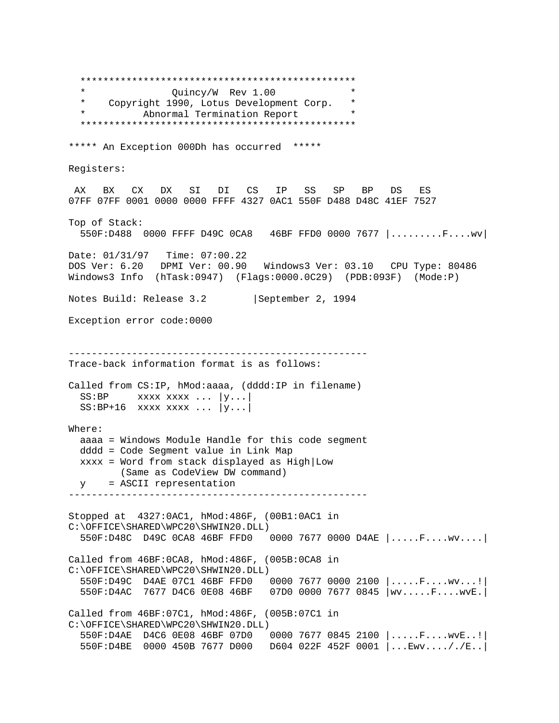\*\*\*\*\*\*\*\*\*\*\*\*\*\*\*\*\*\*\*\*\*\*\*\*\*\*\*\*\*\*\*\*\*\*\*\*\*\*\*\*\*\*\*\*\*\*\*\* \* Quincy/W Rev 1.00 \* \* Copyright 1990, Lotus Development Corp. \* Abnormal Termination Report \*\*\*\*\*\*\*\*\*\*\*\*\*\*\*\*\*\*\*\*\*\*\*\*\*\*\*\*\*\*\*\*\*\*\*\*\*\*\*\*\*\*\*\*\*\*\*\* \*\*\*\*\* An Exception 000Dh has occurred \*\*\*\*\* Registers: AX BX CX DX SI DI CS IP SS SP BP DS ES 07FF 07FF 0001 0000 0000 FFFF 4327 0AC1 550F D488 D48C 41EF 7527 Top of Stack: 550F:D488 0000 FFFF D49C 0CA8 46BF FFD0 0000 7677 |.........F....wv| Date: 01/31/97 Time: 07:00.22 DOS Ver: 6.20 DPMI Ver: 00.90 Windows3 Ver: 03.10 CPU Type: 80486 Windows3 Info (hTask:0947) (Flags:0000.0C29) (PDB:093F) (Mode:P) Notes Build: Release 3.2 | September 2, 1994 Exception error code:0000 ---------------------------------------------------- Trace-back information format is as follows: Called from CS:IP, hMod:aaaa, (dddd:IP in filename)  $SS: BP$  xxxx xxxx ... |y...|  $SS: BP+16$  xxxx xxxx ...  $|y...|$ Where: aaaa = Windows Module Handle for this code segment dddd = Code Segment value in Link Map xxxx = Word from stack displayed as High|Low (Same as CodeView DW command) y = ASCII representation ---------------------------------------------------- Stopped at 4327:0AC1, hMod:486F, (00B1:0AC1 in C:\OFFICE\SHARED\WPC20\SHWIN20.DLL) 550F:D48C D49C 0CA8 46BF FFD0 0000 7677 0000 D4AE |.....F....wv....| Called from 46BF:0CA8, hMod:486F, (005B:0CA8 in C:\OFFICE\SHARED\WPC20\SHWIN20.DLL) 550F:D49C D4AE 07C1 46BF FFD0 0000 7677 0000 2100 |.....F....wv...!| 550F:D4AC 7677 D4C6 0E08 46BF 07D0 0000 7677 0845 |wv.....F....wvE.| Called from 46BF:07C1, hMod:486F, (005B:07C1 in C:\OFFICE\SHARED\WPC20\SHWIN20.DLL) 550F:D4AE D4C6 0E08 46BF 07D0 0000 7677 0845 2100 |.....F....wvE..!| 550F:D4BE 0000 450B 7677 D000 D604 022F 452F 0001 |...Ewv...././E..|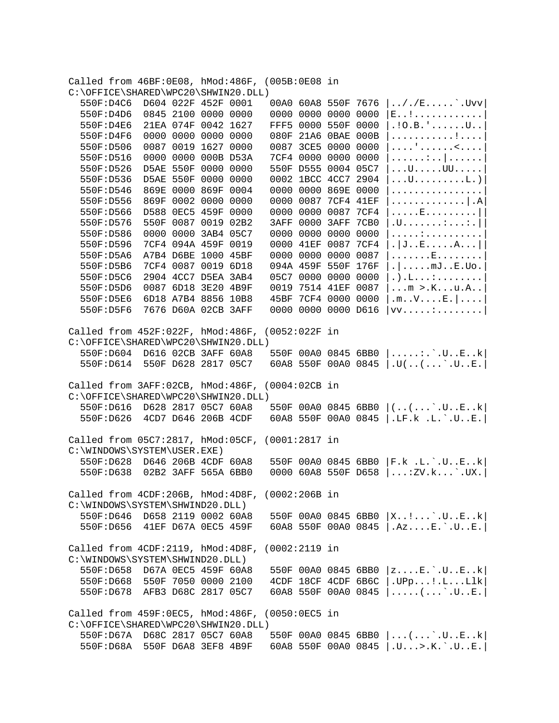|                                   |                               | Called from 46BF:0E08, hMod:486F, (005B:0E08 in |                     |                     |                                                  |
|-----------------------------------|-------------------------------|-------------------------------------------------|---------------------|---------------------|--------------------------------------------------|
|                                   |                               | C:\OFFICE\SHARED\WPC20\SHWIN20.DLL)             |                     |                     |                                                  |
| 550F:D4C6                         |                               | D604 022F 452F 0001                             |                     | 00A0 60A8 550F 7676 | $\ldots / / E \ldots \ldots$ . Uvv               |
| 550F:D4D6                         |                               | 0845 2100 0000 0000                             |                     | 0000 0000 0000 0000 | E!                                               |
| 550F:D4E6                         |                               | 21EA 074F 0042 1627                             | FFF5 0000 550F 0000 |                     | $.10.B.$ ' $U.$                                  |
| 550F:D4F6                         |                               | 0000 0000 0000 0000                             |                     | 080F 21A6 0BAE 000B | . <b>!</b> .                                     |
| 550F:D506                         |                               | 0087 0019 1627 0000                             |                     | 0087 3CE5 0000 0000 | . ' <                                            |
| 550F:D516                         |                               | 0000 0000 000B D53A                             |                     | 7CF4 0000 0000 0000 | .                                                |
| 550F:D526                         |                               | D5AE 550F 0000 0000                             |                     | 550F D555 0004 05C7 | $\dots U \dots U U \dots \dots$                  |
| 550F:D536                         |                               | D5AE 550F 0000 0000                             |                     | 0002 1BCC 4CC7 2904 | $\dots$ U $\dots$ $\dots$ $\dots$ $L$ . $\big)$  |
| 550F:D546                         |                               | 869E 0000 869F 0004                             |                     | 0000 0000 869E 0000 | .                                                |
| 550F:D556                         |                               | 869F 0002 0000 0000                             |                     | 0000 0087 7CF4 41EF | .   . A                                          |
| 550F:D566                         |                               | D588 0EC5 459F 0000                             |                     | 0000 0000 0087 7CF4 | . E                                              |
| 550F:D576                         |                               | 550F 0087 0019 02B2                             |                     | 3AFF 0000 3AFF 7CB0 | $. \mathsf{U}$ $: \ldots : \mathsf{U}$           |
| 550F:D586                         |                               | 0000 0000 3AB4 05C7                             | 0000 0000 0000      | 0000                | . <del>.</del> 1                                 |
| 550F:D596                         |                               | 7CF4 094A 459F 0019                             |                     | 0000 41EF 0087 7CF4 | .  JEA                                           |
| 550F:D5A6                         |                               | A7B4 D6BE 1000 45BF                             | 0000 0000 0000      | 0087                | . E                                              |
| 550F:D5B6                         |                               | 7CF4 0087 0019 6D18                             |                     | 094A 459F 550F 176F | $.   \ldots.mJE.UO.  $                           |
| 550F:D5C6                         |                               | 2904 4CC7 D5EA 3AB4                             |                     | 05C7 0000 0000 0000 | .) .L. :                                         |
| 550F:D5D6                         |                               | 0087 6D18 3E20 4B9F                             |                     | 0019 7514 41EF 0087 | $$ m > $.$ K. $$ u. A. .                         |
| 550F:D5E6                         |                               | 6D18 A7B4 8856 10B8                             |                     | 45BF 7CF4 0000 0000 | $\mathfrak{m}$ . . $V$ . $E$ . $  \ldots  $      |
| 550F:D5F6                         |                               | 7676 D60A 02CB 3AFF                             |                     | 0000 0000 0000 D616 | $VV. \ldots : \ldots : \ldots$                   |
|                                   |                               |                                                 |                     |                     |                                                  |
|                                   |                               | Called from 452F:022F, hMod:486F, (0052:022F in |                     |                     |                                                  |
|                                   |                               | C:\OFFICE\SHARED\WPC20\SHWIN20.DLL)             |                     |                     |                                                  |
| 550F:D604                         |                               | D616 02CB 3AFF 60A8                             |                     | 550F 00A0 0845 6BB0 | $\ldots \ldots$ : $\ldots$ $\ldots$ $E \ldots k$ |
|                                   | 550F:D614 550F D628 2817 05C7 |                                                 |                     | 60A8 550F 00A0 0845 | $  .$ U $( ( ) .$ U $. . E.  $                   |
|                                   |                               |                                                 |                     |                     |                                                  |
| Called from 3AFF:02CB, hMod:486F, |                               |                                                 | (0004:02CB in       |                     |                                                  |
|                                   |                               | C:\OFFICE\SHARED\WPC20\SHWIN20.DLL)             |                     |                     |                                                  |
|                                   | 550F:D616 D628 2817 05C7 60A8 |                                                 |                     | 550F 00A0 0845 6BB0 | $ $ ( ( ` . U E k $ $                            |
| 550F:D626                         | 4CD7 D646 206B 4CDF           |                                                 |                     | 60A8 550F 00A0 0845 | LE.K L.L.'.U.E.                                  |
|                                   |                               |                                                 |                     |                     |                                                  |
| Called from 05C7:2817, hMod:05CF, |                               |                                                 | $(0001:2817$ in     |                     |                                                  |
| C:\WINDOWS\SYSTEM\USER.EXE)       |                               |                                                 |                     |                     |                                                  |
|                                   | 550F:D628 D646 206B 4CDF 60A8 |                                                 |                     | 550F 00A0 0845 6BB0 | $F.k$ .L. $.UEk$                                 |
| 550F:D638                         | 02B2 3AFF 565A 6BB0           |                                                 |                     | 0000 60A8 550F D658 | $ \ldots:$ ZV. k. $\ldots$ ` . UX . $ $          |
|                                   |                               |                                                 |                     |                     |                                                  |
|                                   |                               | Called from 4CDF:206B, hMod:4D8F, (0002:206B in |                     |                     |                                                  |
| C:\WINDOWS\SYSTEM\SHWIND20.DLL)   |                               |                                                 |                     |                     |                                                  |
|                                   | 550F:D646 D658 2119 0002 60A8 |                                                 |                     |                     | 550F 00A0 0845 6BB0 $ X$ J.UEk                   |
|                                   | 550F:D656 41EF D67A 0EC5 459F |                                                 |                     |                     | 60A8 550F 00A0 0845  .AzE. `.UE.                 |
|                                   |                               |                                                 |                     |                     |                                                  |
| Called from 4CDF:2119, hMod:4D8F, |                               |                                                 | $(0002:2119$ in     |                     |                                                  |
| C:\WINDOWS\SYSTEM\SHWIND20.DLL)   |                               |                                                 |                     |                     |                                                  |
| 550F:D658                         | D67A 0EC5 459F 60A8           |                                                 |                     |                     | 550F 00A0 0845 6BB0 $ zE$ . U.E. k               |
|                                   | 550F:D668 550F 7050 0000 2100 |                                                 |                     |                     | 4CDF 18CF 4CDF 6B6C   .UPp!.LLlk                 |
|                                   | 550F:D678 AFB3 D68C 2817 05C7 |                                                 |                     |                     | 60A8 550F 00A0 0845 $ $ $ $ JE.                  |
|                                   |                               |                                                 |                     |                     |                                                  |
| Called from 459F:0EC5, hMod:486F, |                               |                                                 | (0050:0EC5 in       |                     |                                                  |
|                                   |                               | C:\OFFICE\SHARED\WPC20\SHWIN20.DLL)             |                     |                     |                                                  |
|                                   | 550F:D67A D68C 2817 05C7 60A8 |                                                 |                     |                     | 550F 00A0 0845 6BB0 $  \dots (\dots )$ .UEk      |
|                                   | 550F:D68A 550F D6A8 3EF8 4B9F |                                                 |                     | 60A8 550F 00A0 0845 | $ U \ldots$ >.K. $U \ldots E.$                   |
|                                   |                               |                                                 |                     |                     |                                                  |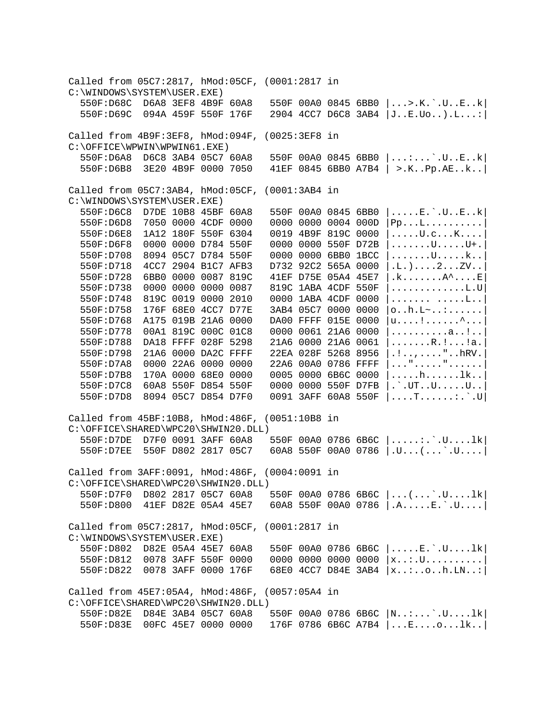Called from 05C7:2817, hMod:05CF, (0001:2817 in C:\WINDOWS\SYSTEM\USER.EXE)<br>550F:D68C D6A8 3EF8 4B9F 60A8 550F 00A0 0845 6BB0  $|...>\dots$ .K.`.U..E..k 550F:D69C 094A 459F 550F 176F 2904 4CC7 D6C8 3AB4 |J..E.Uo..).L...:| Called from 4B9F:3EF8, hMod:094F, (0025:3EF8 in C:\OFFICE\WPWIN\WPWIN61.EXE) 550F:D6A8 D6C8 3AB4 05C7 60A8 550F 00A0 0845 6BB0 |...:...`.U..E..k| 550F:D6B8 3E20 4B9F 0000 7050 41EF 0845 6BB0 A7B4 | >.K..Pp.AE..k..| Called from 05C7:3AB4, hMod:05CF, (0001:3AB4 in C:\WINDOWS\SYSTEM\USER.EXE)<br>550F:D6C8 D7DE 10B8 45BF 60A8 550F 00A0 0845 6BB0  $|......E$ .`.U..E..k 550F:D6D8 7050 0000 4CDF 0000 0000 0000 0004 000D |Pp...L..........| 550F:D6E8 1A12 180F 550F 6304 0019 4B9F 819C 0000 |.....U.c...K....| 550F:D6F8 0000 0000 D784 550F 0000 0000 550F D72B |......U....U+.<br>550F:D708 8094 05C7 D784 550F 0000 0000 6BB0 1BCC |......U.....k..  $0000 0000 6BB0 1BCC \dots 1...U...k.$  550F:D718 4CC7 2904 B1C7 AFB3 D732 92C2 565A 0000 |.L.)....2...ZV..| 550F:D728 6BB0 0000 0087 819C 41EF D75E 05A4 45E7 |.k.......A^....E| 550F:D738 0000 0000 0000 0087 819C 1ABA 4CDF 550F |.............L.U| 550F:D748 819C 0019 0000 2010 0000 1ABA 4CDF 0000 |....... .....L..| 550F:D758 176F 68E0 4CC7 D77E 3AB4 05C7 0000 0000 |o..h.L~..:......| 550F:D768 A175 019B 21A6 0000 DA00 FFFF 015E 0000 |u....!......^...| 550F:D778 00A1 819C 000C 01C8 0000 0061 21A6 0000 |..........a..!..| 550F:D788 DA18 FFFF 028F 5298 21A6 0000 21A6 0061  $|$ ......R.!...!a. 550F:D798 21A6 0000 DA2C FFFF 22EA 028F 5268 8956 |.!..,...."..hRV.| 550F:D7A8 0000 22A6 0000 0000 22A6 00A0 0786 FFFF |..."....."......| 550F:D7B8 170A 0000 68E0 0000 0005 0000 6B6C 0000 |.....h......lk..| 550F:D7C8 60A8 550F D854 550F 0000 0000 550F D7FB |.`.UT..U.....U..| 550F:D7D8 8094 05C7 D854 D7F0 0091 3AFF 60A8 550F |....T......:.`.U| Called from 45BF:10B8, hMod:486F, (0051:10B8 in C:\OFFICE\SHARED\WPC20\SHWIN20.DLL) 550F:D7DE D7F0 0091 3AFF 60A8 550F 00A0 0786 6B6C |.....:.`.U....lk| 550F:D7EE 550F D802 2817 05C7 60A8 550F 00A0 0786 |.U...(...`.U....| Called from 3AFF:0091, hMod:486F, (0004:0091 in C:\OFFICE\SHARED\WPC20\SHWIN20.DLL)<br>550F:D7F0 D802 2817 05C7 60A8 550F:D7F0 D802 2817 05C7 60A8 550F 00A0 0786 6B6C |...(...`.U....lk| 550F:D800 41EF D82E 05A4 45E7 60A8 550F 00A0 0786 |.A.....E.`.U....| Called from 05C7:2817, hMod:05CF, (0001:2817 in C:\WINDOWS\SYSTEM\USER.EXE)<br>550F:D802 D82E 05A4 45E7 60A8 550F 00A0 0786 6B6C  $|...E:\..U...1k|$  550F:D812 0078 3AFF 550F 0000 0000 0000 0000 0000 |x..:.U..........| 550F:D822 0078 3AFF 0000 176F 68E0 4CC7 D84E 3AB4 |x..:..o..h.LN..:| Called from 45E7:05A4, hMod:486F, (0057:05A4 in C:\OFFICE\SHARED\WPC20\SHWIN20.DLL) 550F:D82E D84E 3AB4 05C7 60A8 550F 00A0 0786 6B6C |N..:...`.U....lk| 550F:D83E 00FC 45E7 0000 0000 176F 0786 6B6C A7B4 |...E....o...lk..|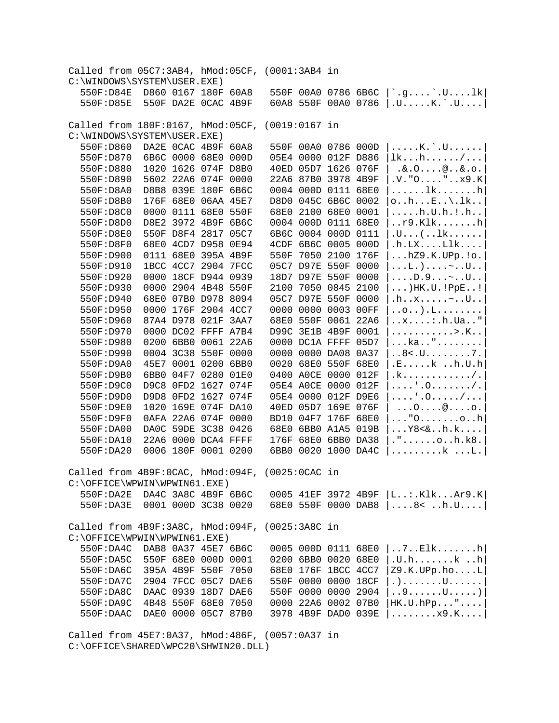| Called from 05C7:3AB4, hMod:05CF, (0001:3AB4 in |           |                     |                     |               |                     |  |                                                                 |
|-------------------------------------------------|-----------|---------------------|---------------------|---------------|---------------------|--|-----------------------------------------------------------------|
| C:\WINDOWS\SYSTEM\USER.EXE)                     |           |                     |                     |               |                     |  |                                                                 |
|                                                 | 550F:D84E | D860 0167 180F 60A8 |                     |               | 550F 00A0 0786 6B6C |  | $ \cdot$ .g $\cdot$ .U1k                                        |
|                                                 | 550F:D85E |                     | 550F DA2E OCAC 4B9F |               | 60A8 550F 00A0 0786 |  | $ U \ldots K$ . $U \ldots$                                      |
|                                                 |           |                     |                     |               |                     |  |                                                                 |
| Called from 180F:0167, hMod:05CF, (0019:0167 in |           |                     |                     |               |                     |  |                                                                 |
| C:\WINDOWS\SYSTEM\USER.EXE)                     |           |                     |                     |               |                     |  |                                                                 |
|                                                 | 550F:D860 |                     | DA2E OCAC 4B9F 60A8 |               | 550F 00A0 0786 000D |  | $\ldots$ . K. $\ldots$ U. $\ldots$ .                            |
|                                                 | 550F:D870 |                     | 6B6C 0000 68E0 000D |               | 05E4 0000 012F D886 |  | lkh/                                                            |
|                                                 | 550F:D880 |                     | 1020 1626 074F D8B0 |               | 40ED 05D7 1626 076F |  | 8.00                                                            |
|                                                 | 550F:D890 |                     | 5602 22A6 074F 0000 |               | 22A6 87B0 3978 4B9F |  | V. "0 " x9.K]                                                   |
|                                                 | 550F:D8A0 |                     | D8B8 039E 180F 6B6C |               | 0004 000D 0111 68E0 |  | $\dots$ lkh                                                     |
|                                                 | 550F:D8B0 |                     | 176F 68E0 06AA 45E7 |               | D8D0 045C 6B6C 0002 |  | $\circ$ $h$ $E$ $\backslash$ .1 $k$                             |
|                                                 | 550F:D8C0 |                     | 0000 0111 68E0 550F |               | 68E0 2100 68E0 0001 |  | $\ldots$ .h.U.h.!.h                                             |
|                                                 | 550F:D8D0 |                     | D8E2 3972 4B9F 6B6C |               | 0004 000D 0111 68E0 |  | r9.Klkh                                                         |
|                                                 | 550F:D8E0 |                     | 550F D8F4 2817 05C7 |               | 6B6C 0004 000D 0111 |  | $.U($ $lk$                                                      |
|                                                 | 550F:D8F0 |                     | 68E0 4CD7 D958 0E94 |               | 4CDF 6B6C 0005 000D |  | $.h.LX. \ldots Llk \ldots$                                      |
|                                                 | 550F:D900 |                     | 0111 68E0 395A 4B9F |               | 550F 7050 2100 176F |  | $\ldots$ hZ9.K. UPp. $! \circ$ .                                |
|                                                 | 550F:D910 |                     | 1BCC 4CC7 2904 7FCC |               | 05C7 D97E 550F 0000 |  | $\ldots$ L.) $\sim$ U                                           |
|                                                 | 550F:D920 |                     | 0000 18CF D944 0939 |               | 18D7 D97E 550F 0000 |  | $\ldots D.9 \ldots \sim .U.$                                    |
|                                                 | 550F:D930 |                     | 0000 2904 4B48 550F |               | 2100 7050 0845 2100 |  | $\ldots$ ) HK.U. ! PpE!                                         |
|                                                 | 550F:D940 |                     | 68E0 07B0 D978 8094 |               | 05C7 D97E 550F 0000 |  | $\ldots x \ldots z \ldots U$                                    |
|                                                 | 550F:D950 |                     | 0000 176F 2904 4CC7 |               | 0000 0000 0003 00FF |  | $\ldots$ 0). $L$                                                |
|                                                 | 550F:D960 |                     | 87A4 D978 021F 3AA7 |               | 68E0 550F 0061 22A6 |  | $\dots x \dots \dots$ . h. Ua. . "                              |
|                                                 | 550F:D970 |                     | 0000 DC02 FFFF A7B4 |               | D99C 3E1B 4B9F 0001 |  | . > . K                                                         |
|                                                 | 550F:D980 |                     | 0200 6BB0 0061 22A6 |               | 0000 DC1A FFFF 05D7 |  | ka"                                                             |
|                                                 | 550F:D990 |                     | 0004 3C38 550F 0000 |               | 0000 0000 DA08 0A37 |  | $. . 8 < . $ U. $. 7.$                                          |
|                                                 | 550F:D9A0 |                     | 45E7 0001 0200 6BB0 |               | 0020 68E0 550F 68E0 |  | .Ekh.U.h                                                        |
|                                                 | 550F:D9B0 |                     | 6BB0 04F7 0280 01E0 |               | 0400 AOCE 0000 012F |  |                                                                 |
|                                                 |           |                     |                     |               | 05E4 A0CE 0000 012F |  | .k. / .                                                         |
|                                                 | 550F:D9C0 |                     | D9C8 0FD2 1627 074F |               |                     |  | $\ldots \ldots \ldots$                                          |
|                                                 | 550F:D9D0 |                     | D9D8 0FD2 1627 074F |               | 05E4 0000 012F D9E6 |  | $\ldots$ , $\ldots$ , $\ldots$ , $\ldots$ , $\ldots$ , $\ldots$ |
|                                                 | 550F:D9E0 |                     | 1020 169E 074F DA10 |               | 40ED 05D7 169E 076F |  | $\ldots 0 \ldots @ \ldots 0 \ldots$                             |
|                                                 | 550F:D9F0 |                     | 0AFA 22A6 074F 0000 |               | BD10 04F7 176F 68E0 |  | $\ldots$ "0 $\dots$ oh                                          |
|                                                 | 550F:DA00 |                     | DAOC 59DE 3C38 0426 |               | 68E0 6BB0 A1A5 019B |  | $\ldots$ Y8 < & $\ldots$ h. k. $\ldots$ .                       |
|                                                 | 550F:DA10 |                     | 22A6 0000 DCA4 FFFF |               | 176F 68E0 6BB0 DA38 |  | $. " \ldots \ldots \circ . h.k8.$                               |
|                                                 | 550F:DA20 |                     | 0006 180F 0001 0200 |               | 6BB0 0020 1000 DA4C |  | $\ldots \ldots \ldots$ $\ldots$ $\ldots$ $\ldots$               |
| Called from 4B9F:0CAC, hMod:094F,               |           |                     |                     | (0025:0CAC in |                     |  |                                                                 |
| C:\OFFICE\WPWIN\WPWIN61.EXE)                    |           |                     |                     |               |                     |  |                                                                 |
|                                                 | 550F:DA2E |                     | DA4C 3A8C 4B9F 6B6C |               |                     |  | 0005 41EF 3972 4B9F $ L$ :.KlkAr9.K                             |
|                                                 | 550F:DA3E |                     | 0001 000D 3C38 0020 |               |                     |  | 68E0 550F 0000 DAB8   8< h.U                                    |
|                                                 |           |                     |                     |               |                     |  |                                                                 |
| Called from 4B9F:3A8C, hMod:094F,               |           |                     |                     | (0025:3A8C in |                     |  |                                                                 |
| $C:\O$ FFICE $\W$ PWIN $\W$ PWIN61.EXE)         |           |                     |                     |               |                     |  |                                                                 |
|                                                 | 550F:DA4C |                     | DAB8 0A37 45E7 6B6C |               | 0005 000D 0111 68E0 |  | $\ldots 7 \ldots$ Elkh                                          |
|                                                 | 550F:DA5C |                     | 550F 68E0 000D 0001 |               | 0200 6BB0 0020 68E0 |  | .U.hkh                                                          |
|                                                 | 550F:DA6C |                     | 395A 4B9F 550F 7050 |               | 68E0 176F 1BCC 4CC7 |  | Z9.K.UPp.hoL                                                    |
|                                                 | 550F:DA7C |                     | 2904 7FCC 05C7 DAE6 |               | 550F 0000 0000 18CF |  | $. )$ U.                                                        |
|                                                 | 550F:DA8C |                     | DAAC 0939 18D7 DAE6 |               | 550F 0000 0000 2904 |  | $\ldots 9 \ldots \ldots U \ldots \ldots)$                       |
|                                                 | 550F:DA9C |                     | 4B48 550F 68E0 7050 |               | 0000 22A6 0002 07B0 |  | $HK.U.hPp$ "                                                    |
|                                                 | 550F:DAAC |                     | DAE0 0000 05C7 87B0 |               | 3978 4B9F DAD0 039E |  | $\ldots \ldots \ldots x9 \ldotp K \ldots$                       |
|                                                 |           |                     |                     |               |                     |  |                                                                 |

Called from 45E7:0A37, hMod:486F, (0057:0A37 in C:\OFFICE\SHARED\WPC20\SHWIN20.DLL)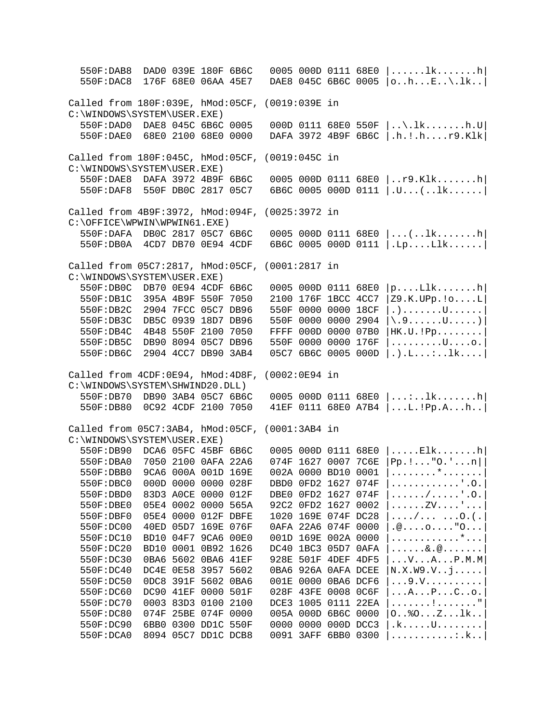550F:DAB8 DAD0 039E 180F 6B6C 0005 000D 0111 68E0 |......lk.......h| 550F:DAC8 176F 68E0 06AA 45E7 DAE8 045C 6B6C 0005 |o..h...E..\.lk..| Called from 180F:039E, hMod:05CF, (0019:039E in C:\WINDOWS\SYSTEM\USER.EXE) 550F:DAD0 DAE8 045C 6B6C 0005 000D 0111 68E0 550F |..\.lk.......h.U| 550F:DAE0 68E0 2100 68E0 0000 DAFA 3972 4B9F 6B6C |.h.!.h....r9.Klk| Called from 180F:045C, hMod:05CF, (0019:045C in C:\WINDOWS\SYSTEM\USER.EXE)<br>550F:DAE8 DAFA 3972 4B9F 6B6C  $0005$   $000D$   $0111$   $68E0$   $|..r9.K1k$ .......h 550F:DAF8 550F DB0C 2817 05C7 6B6C 0005 000D 0111 |.U...(..lk......| Called from 4B9F:3972, hMod:094F, (0025:3972 in C:\OFFICE\WPWIN\WPWIN61.EXE) 550F:DAFA DB0C 2817 05C7 6B6C 0005 000D 0111 68E0 |...(..lk.......h| 550F:DB0A 4CD7 DB70 0E94 4CDF 6B6C 0005 000D 0111 |.Lp....Llk......| Called from 05C7:2817, hMod:05CF, (0001:2817 in C:\WINDOWS\SYSTEM\USER.EXE)<br>550F:DB0C DB70 0E94 4CDF 6B6C  $0005000D011168E0 |p...L1k......h|$  550F:DB1C 395A 4B9F 550F 7050 2100 176F 1BCC 4CC7 |Z9.K.UPp.!o....L| 550F:DB2C 2904 7FCC 05C7 DB96 550F 0000 0000 18CF |.).......U......| 550F:DB3C DB5C 0939 18D7 DB96 550F 0000 0000 2904 |\.9......U.....)| 550F:DB4C 4B48 550F 2100 7050 FFFF 000D 0000 07B0 |HK.U.!Pp........| 550F:DB5C DB90 8094 05C7 DB96 550F 0000 0000 176F |.........U....o.| 550F:DB6C 2904 4CC7 DB90 3AB4 05C7 6B6C 0005 000D |.).L...:..lk....| Called from 4CDF:0E94, hMod:4D8F, (0002:0E94 in C:\WINDOWS\SYSTEM\SHWIND20.DLL) 550F:DB70 DB90 3AB4 05C7 6B6C 0005 000D 0111 68E0 |...:..lk.......h| 550F:DB80 0C92 4CDF 2100 7050 41EF 0111 68E0 A7B4 |...L.!Pp.A...h..| Called from 05C7:3AB4, hMod:05CF, (0001:3AB4 in C:\WINDOWS\SYSTEM\USER.EXE)<br>550F:DB90 DCA6 05FC 45BF 6B6C 550F:DB90 DCA6 05FC 45BF 6B6C 0005 000D 0111 68E0 |.....Elk.......h|  $074F$  1627 0007 7C6E  $|Pp.!\dots"0.\dots:n|$ <br> $002A$  0000 BD10 0001  $|\dots...\dots"\dots$ 550F:DBB0 9CA6 000A 001D 169E<br>550F:DBC0 000D 0000 0000 028F 5550 DBD0 0FD2 1627 074F |...................<br>DBE0 0FD2 1627 074F |....../.....'.O. 550F:DBD0 83D3 A0CE 0000 012F DBE0 0FD2 1627 074F  $|$ ...../....'.O.<br>550F:DBE0 05E4 0002 0000 565A 92C2 0FD2 1627 0002  $|$ .....ZV....'... 550F:DBE0 05E4 0002 0000 565A 92C2 0FD2 1627 0002 550F:DBF0 05E4 0000 012F DBFE 1020 169E 074F DC28 |..../... ...O.(.| 550F:DC00 40ED 05D7 169E 076F 0AFA 22A6 074F 0000 |.@....o...."O...| 550F:DC10 BD10 04F7 9CA6 00E0 001D 169E 002A 0000 |............\*...|  $550F:DC20$  BD10 0001 0B92 1626 DC40 1BC3 05D7 0AFA  $|$ ......&.@.......<br>550F:DC30 0BA6 5602 0BA6 41EF 928E 501F 4DEF 4DF5  $|$ ...V...A...P.M.M 928E 501F 4DEF 4DF5 |...V...A...P.M.M 550F:DC40 DC4E 0E58 3957 5602 0BA6 926A 0AFA DCEE |N.X.W9.V..j.....| 550F:DC50 0DC8 391F 5602 0BA6 001E 0000 0BA6 DCF6<br>550F:DC60 DC90 41EF 0000 501F 028F 43FE 0008 0C6F 028F 43FE 0008 0C6F |...A...P...C..o.| 550F:DC70 0003 83D3 0100 2100 DCE3 1005 0111 22EA |.......!......."| 550F:DC80 074F 25BE 074F 0000 005A 000D 6B6C 0000 |O..%O...Z...lk..| 550F:DC90 6BB0 0300 DD1C 550F 0000 0000 000D DCC3 |.k.....U........| 550F:DCA0 8094 05C7 DD1C DCB8 0091 3AFF 6BB0 0300 |...........:.k..|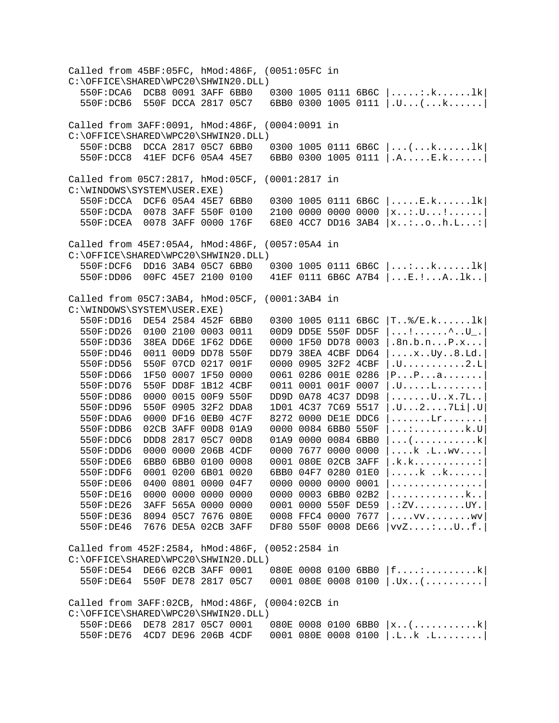Called from 45BF:05FC, hMod:486F, (0051:05FC in C:\OFFICE\SHARED\WPC20\SHWIN20.DLL)<br>550F:DCA6 DCB8 0091 3AFF 6BB0  $0300 1005 0111 6B6C \dots k...k...k$  550F:DCB6 550F DCCA 2817 05C7 6BB0 0300 1005 0111 |.U...(...k......| Called from 3AFF:0091, hMod:486F, (0004:0091 in C:\OFFICE\SHARED\WPC20\SHWIN20.DLL)<br>550F:DCB8 DCCA 2817 05C7 6BB0  $0300$  1005 0111 6B6C  $| \dots (\dots k \dots l \text{k}|$  550F:DCC8 41EF DCF6 05A4 45E7 6BB0 0300 1005 0111 |.A.....E.k......| Called from 05C7:2817, hMod:05CF, (0001:2817 in C:\WINDOWS\SYSTEM\USER.EXE)<br>550F:DCCA DCF6 05A4 45E7 6BB0 550F:DCCA DCF6 05A4 45E7 6BB0 0300 1005 0111 6B6C |.....E.k......1k|<br>550F:DCDA 0078 3AFF 550F 0100 2100 0000 0000 0000 |x..:.U...!......|  $2100\,$  0000 0000 0000  $\vert x_{\dots} \cdots \vert \ldots \vert$ ....... 550F:DCEA 0078 3AFF 0000 176F 68E0 4CC7 DD16 3AB4 |x..:..o..h.L...:| Called from 45E7:05A4, hMod:486F, (0057:05A4 in C:\OFFICE\SHARED\WPC20\SHWIN20.DLL)<br>550F:DCF6 DD16 3AB4 05C7 6BB0  $0300$  1005 0111 6B6C  $|...:\dots:k......1k|$  550F:DD06 00FC 45E7 2100 0100 41EF 0111 6B6C A7B4 |...E.!...A..lk..| Called from 05C7:3AB4, hMod:05CF, (0001:3AB4 in C:\WINDOWS\SYSTEM\USER.EXE)<br>550F:DD16 DE54 2584 452F 6BB0 0300 1005 0111 6B6C  $|T..%/E.k.\dots..1k|$ <br>00D9 DD5E 550F DD5F  $|...!.......^{^{\wedge}..U}..|$ 550F:DD26 0100 2100 0003 0011 00D9 DD5E 550F DD5F  $| \ldots | \ldots | \ldots \ldots \ldots \ldots \ldots |$ .<br>550F:DD36 38EA DD6E 1F62 DD6E 0000 1F50 DD78 0003 |.8n.b.n...P.x... 550F:DD36 38EA DD6E 1F62 DD6E<br>550F:DD46 0011 00D9 DD78 550F 550F:DD46 0011 00D9 DD78 550F DD79 38EA 4CBF DD64 |....x..Uy..8.Ld.| 550F:DD56 550F 07CD 0217 001F 0000 0905 32F2 4CBF |.U...........2.L|  $0061$  0286 001E 0286  $|P\ldots P\ldots a\ldots\ldots\rangle$ <br> $0011$  0001 001F 0007  $|$ .U.....L........ 550F:DD76 550F DD8F 1B12 4CBF 550F:DD86 0000 0015 00F9 550F DD9D 0A78 4C37 DD98 |......U..x.7L..<br>550F:DD96 550F 0905 32F2 DDA8 1D01 4C37 7C69 5517 |.U...2....7Li |.U 550F:DD96 550F 0905 32F2 DDA8 1D01 4C37 7C69 5517  $|U...2...2...7Li|U$ <br>550F:DDA6 0000 DF16 0EB0 4C7F 8272 0000 DE1E DDC6  $|......Lr......$ 550F:DDA6 0000 DF16 0EB0 4C7F 8272 0000 DE1E DDC6 |......Lr.......<br>550F:DDB6 02CB 3AFF 00D8 01A9 0000 0084 6BB0 550F |...:.........k.U 550F:DDB6 02CB 3AFF 00D8 01A9 550F:DDC6 DDD8 2817 05C7 00D8 01A9 0000 0084 6BB0  $|...|$ ..............k<br>550F:DDD6 0000 0000 206B 4CDF 0000 7677 0000 0000  $|...k|$ ....wv.... 0000 7677 0000 0000 |....k .L..wv....|<br>| 0001 080E 02CB 3AFF |.k.k.............  $550F:$ DDE6 6BB0 6BB0 0100 0008 0001 080E 02CB 3AFF |.k.k...........:<br> $550F:$ DDF6 0001 0200 6B01 0020 6BB0 04F7 0280 01E0 |.....k...k..... 550F:DDF6 0001 0200 6B01 0020<br>550F:DE06 0400 0801 0000 04F7 0000 0000 0000 0001 |................<br>0000 0003 6BB0 02B2 |..............k.. 550F:DE16 0000 0000 0000 0000 0000 0003 6BB0 02B2 |.............k..| 550F:DE26 3AFF 565A 0000 0000<br>550F:DE36 8094 05C7 7676 080E 550F:DE36 8094 05C7 7676 080E 0008 FFC4 0000 7677 |....vv.........wv<br>550F:DE46 7676 DE5A 02CB 3AFF DF80 550F 0008 DE66 |vvZ....:...U..f.  $DF80550F0008DE66 |vvZ...:\ldots U..f.|$ Called from 452F:2584, hMod:486F, (0052:2584 in C:\OFFICE\SHARED\WPC20\SHWIN20.DLL) 550F:DE54 DE66 02CB 3AFF 0001 080E 0008 0100 6BB0 |f....:.........k| 550F:DE64 550F DE78 2817 05C7 0001 080E 0008 0100 |.Ux..(..........| Called from 3AFF:02CB, hMod:486F, (0004:02CB in C:\OFFICE\SHARED\WPC20\SHWIN20.DLL) 550F:DE66 DE78 2817 05C7 0001 080E 0008 0100 6BB0 |x..(...........k| 550F:DE76 4CD7 DE96 206B 4CDF 0001 080E 0008 0100 |.L..k .L........|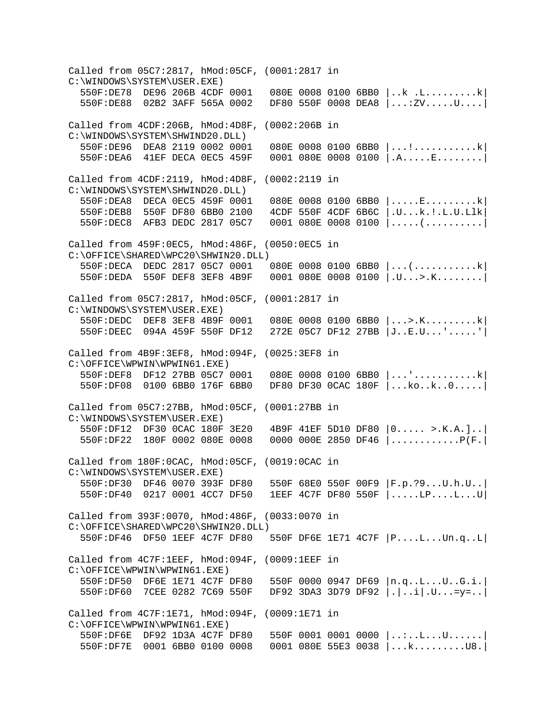Called from 05C7:2817, hMod:05CF, (0001:2817 in C:\WINDOWS\SYSTEM\USER.EXE)<br>550F:DE78 DE96 206B 4CDF 0001  $080E$  0008 0100 6BB0  $\vert$ ..k .L...........k 550F:DE88 02B2 3AFF 565A 0002 DF80 550F 0008 DEA8 |...:ZV.....U....| Called from 4CDF:206B, hMod:4D8F, (0002:206B in C:\WINDOWS\SYSTEM\SHWIND20.DLL)<br>550F:DE96 DEA8 2119 0002 0001 550F:DE96 DEA8 2119 0002 0001 080E 0008 0100 6BB0 |...!...........k|  $0001$  080E 0008 0100  $|A$ .....E........ Called from 4CDF:2119, hMod:4D8F, (0002:2119 in C:\WINDOWS\SYSTEM\SHWIND20.DLL)<br>550F:DEA8 DECA 0EC5 459F 0001 550F:DEA8 DECA 0EC5 459F 0001 080E 0008 0100 6BB0 |.....E...........k|<br>550F:DEB8 550F DF80 6BB0 2100 4CDF 550F 4CDF 6B6C |.U...k.!.L.U.Llk|  $4$ CDF 550F  $4$ CDF 6B6C  $|U...k$ .!.L.U.Llk 550F:DEC8 AFB3 DEDC 2817 05C7 0001 080E 0008 0100 |.....(..........| Called from 459F:0EC5, hMod:486F, (0050:0EC5 in C:\OFFICE\SHARED\WPC20\SHWIN20.DLL) 550F:DECA DEDC 2817 05C7 0001 080E 0008 0100 6BB0 |...(...........k| 550F:DEDA 550F DEF8 3EF8 4B9F 0001 080E 0008 0100 |.U...>.K........| Called from 05C7:2817, hMod:05CF, (0001:2817 in C:\WINDOWS\SYSTEM\USER.EXE)<br>550F:DEDC DEF8 3EF8 4B9F 0001  $080E$  0008 0100 6BB0  $|...>\kappa......k|$  550F:DEEC 094A 459F 550F DF12 272E 05C7 DF12 27BB |J..E.U...'.....'| Called from 4B9F:3EF8, hMod:094F, (0025:3EF8 in C:\OFFICE\WPWIN\WPWIN61.EXE) 550F:DEF8 DF12 27BB 05C7 0001 080E 0008 0100 6BB0 |...'...........k| 550F:DF08 0100 6BB0 176F 6BB0 DF80 DF30 0CAC 180F |...ko..k..0.....| Called from 05C7:27BB, hMod:05CF, (0001:27BB in C:\WINDOWS\SYSTEM\USER.EXE) 550F:DF12 DF30 0CAC 180F 3E20 4B9F 41EF 5D10 DF80 |0..... >.K.A.]..| 550F:DF22 180F 0002 080E 0008 0000 000E 2850 DF46 |............P(F.| Called from 180F:0CAC, hMod:05CF, (0019:0CAC in C:\WINDOWS\SYSTEM\USER.EXE) 550F:DF30 DF46 0070 393F DF80 550F 68E0 550F 00F9 |F.p.?9...U.h.U..| 550F:DF40 0217 0001 4CC7 DF50 1EEF 4C7F DF80 550F |.....LP....L...U| Called from 393F:0070, hMod:486F, (0033:0070 in C:\OFFICE\SHARED\WPC20\SHWIN20.DLL) 550F:DF46 DF50 1EEF 4C7F DF80 550F DF6E 1E71 4C7F |P....L...Un.q..L| Called from 4C7F:1EEF, hMod:094F, (0009:1EEF in C:\OFFICE\WPWIN\WPWIN61.EXE) 550F:DF50 DF6E 1E71 4C7F DF80 550F 0000 0947 DF69 |n.q..L...U..G.i.| 550F:DF60 7CEE 0282 7C69 550F DF92 3DA3 3D79 DF92 |.|..i|.U...=y=..| Called from 4C7F:1E71, hMod:094F, (0009:1E71 in C:\OFFICE\WPWIN\WPWIN61.EXE)<br>550F:DF6E DF92 1D3A 4C7F DF80 550F 0001 0001 0000 |..:..L...U...... 550F:DF7E 0001 6BB0 0100 0008 0001 080E 55E3 0038 |...k.........U8.|